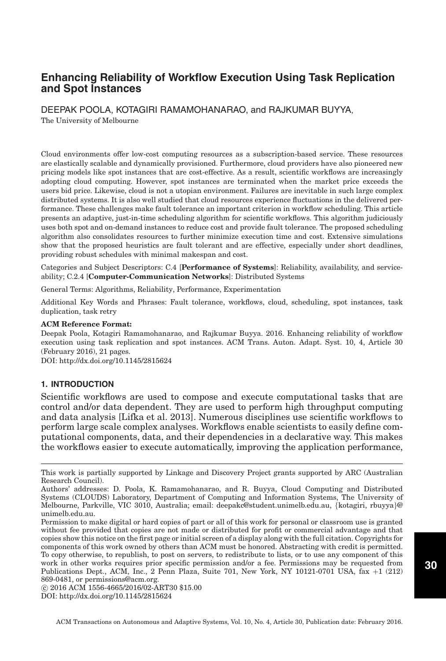DEEPAK POOLA, KOTAGIRI RAMAMOHANARAO, and RAJKUMAR BUYYA,

The University of Melbourne

Cloud environments offer low-cost computing resources as a subscription-based service. These resources are elastically scalable and dynamically provisioned. Furthermore, cloud providers have also pioneered new pricing models like spot instances that are cost-effective. As a result, scientific workflows are increasingly adopting cloud computing. However, spot instances are terminated when the market price exceeds the users bid price. Likewise, cloud is not a utopian environment. Failures are inevitable in such large complex distributed systems. It is also well studied that cloud resources experience fluctuations in the delivered performance. These challenges make fault tolerance an important criterion in workflow scheduling. This article presents an adaptive, just-in-time scheduling algorithm for scientific workflows. This algorithm judiciously uses both spot and on-demand instances to reduce cost and provide fault tolerance. The proposed scheduling algorithm also consolidates resources to further minimize execution time and cost. Extensive simulations show that the proposed heuristics are fault tolerant and are effective, especially under short deadlines, providing robust schedules with minimal makespan and cost.

Categories and Subject Descriptors: C.4 [**Performance of Systems**]: Reliability, availability, and serviceability; C.2.4 [**Computer-Communication Networks**]: Distributed Systems

General Terms: Algorithms, Reliability, Performance, Experimentation

Additional Key Words and Phrases: Fault tolerance, workflows, cloud, scheduling, spot instances, task duplication, task retry

### **ACM Reference Format:**

Deepak Poola, Kotagiri Ramamohanarao, and Rajkumar Buyya. 2016. Enhancing reliability of workflow execution using task replication and spot instances. ACM Trans. Auton. Adapt. Syst. 10, 4, Article 30 (February 2016), 21 pages.

DOI:<http://dx.doi.org/10.1145/2815624>

# **1. INTRODUCTION**

Scientific workflows are used to compose and execute computational tasks that are control and/or data dependent. They are used to perform high throughput computing and data analysis [Lifka et al. [2013\]](#page-19-0). Numerous disciplines use scientific workflows to perform large scale complex analyses. Workflows enable scientists to easily define computational components, data, and their dependencies in a declarative way. This makes the workflows easier to execute automatically, improving the application performance,

© 2016 ACM 1556-4665/2016/02-ART30 \$15.00 DOI:<http://dx.doi.org/10.1145/2815624>

This work is partially supported by Linkage and Discovery Project grants supported by ARC (Australian Research Council).

Authors' addresses: D. Poola, K. Ramamohanarao, and R. Buyya, Cloud Computing and Distributed Systems (CLOUDS) Laboratory, Department of Computing and Information Systems, The University of Melbourne, Parkville, VIC 3010, Australia; email: deepakc@student.unimelb.edu.au, {kotagiri, rbuyya}@ unimelb.edu.au.

Permission to make digital or hard copies of part or all of this work for personal or classroom use is granted without fee provided that copies are not made or distributed for profit or commercial advantage and that copies show this notice on the first page or initial screen of a display along with the full citation. Copyrights for components of this work owned by others than ACM must be honored. Abstracting with credit is permitted. To copy otherwise, to republish, to post on servers, to redistribute to lists, or to use any component of this work in other works requires prior specific permission and/or a fee. Permissions may be requested from Publications Dept., ACM, Inc., 2 Penn Plaza, Suite 701, New York, NY 10121-0701 USA, fax +1 (212) 869-0481, or permissions@acm.org.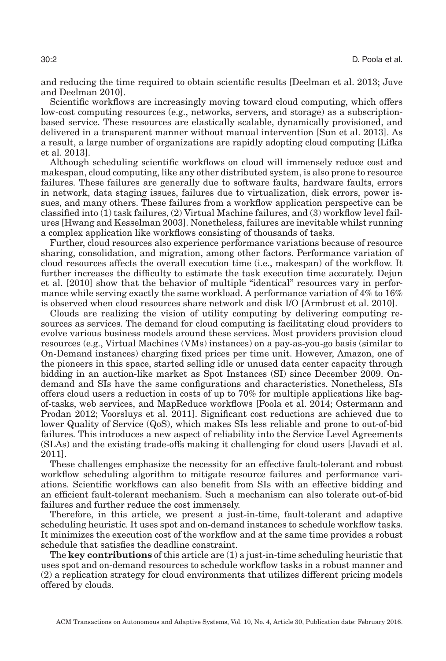and reducing the time required to obtain scientific results [Deelman et al. [2013;](#page-18-0) Juve and Deelman [2010\]](#page-19-1).

Scientific workflows are increasingly moving toward cloud computing, which offers low-cost computing resources (e.g., networks, servers, and storage) as a subscriptionbased service. These resources are elastically scalable, dynamically provisioned, and delivered in a transparent manner without manual intervention [Sun et al. [2013\]](#page-19-2). As a result, a large number of organizations are rapidly adopting cloud computing [Lifka et al. [2013\]](#page-19-0).

Although scheduling scientific workflows on cloud will immensely reduce cost and makespan, cloud computing, like any other distributed system, is also prone to resource failures. These failures are generally due to software faults, hardware faults, errors in network, data staging issues, failures due to virtualization, disk errors, power issues, and many others. These failures from a workflow application perspective can be classified into (1) task failures, (2) Virtual Machine failures, and (3) workflow level failures [Hwang and Kesselman [2003\]](#page-18-1). Nonetheless, failures are inevitable whilst running a complex application like workflows consisting of thousands of tasks.

Further, cloud resources also experience performance variations because of resource sharing, consolidation, and migration, among other factors. Performance variation of cloud resources affects the overall execution time (i.e., makespan) of the workflow. It further increases the difficulty to estimate the task execution time accurately. Dejun et al. [\[2010\]](#page-18-2) show that the behavior of multiple "identical" resources vary in performance while serving exactly the same workload. A performance variation of 4% to 16% is observed when cloud resources share network and disk I/O [Armbrust et al. [2010\]](#page-18-3).

Clouds are realizing the vision of utility computing by delivering computing resources as services. The demand for cloud computing is facilitating cloud providers to evolve various business models around these services. Most providers provision cloud resources (e.g., Virtual Machines (VMs) instances) on a pay-as-you-go basis (similar to On-Demand instances) charging fixed prices per time unit. However, Amazon, one of the pioneers in this space, started selling idle or unused data center capacity through bidding in an auction-like market as Spot Instances (SI) since December 2009. Ondemand and SIs have the same configurations and characteristics. Nonetheless, SIs offers cloud users a reduction in costs of up to 70% for multiple applications like bagof-tasks, web services, and MapReduce workflows [Poola et al. [2014;](#page-19-3) Ostermann and Prodan [2012;](#page-19-4) Voorsluys et al. [2011\]](#page-20-0). Significant cost reductions are achieved due to lower Quality of Service (QoS), which makes SIs less reliable and prone to out-of-bid failures. This introduces a new aspect of reliability into the Service Level Agreements (SLAs) and the existing trade-offs making it challenging for cloud users [Javadi et al. [2011\]](#page-19-5).

These challenges emphasize the necessity for an effective fault-tolerant and robust workflow scheduling algorithm to mitigate resource failures and performance variations. Scientific workflows can also benefit from SIs with an effective bidding and an efficient fault-tolerant mechanism. Such a mechanism can also tolerate out-of-bid failures and further reduce the cost immensely.

Therefore, in this article, we present a just-in-time, fault-tolerant and adaptive scheduling heuristic. It uses spot and on-demand instances to schedule workflow tasks. It minimizes the execution cost of the workflow and at the same time provides a robust schedule that satisfies the deadline constraint.

The **key contributions** of this article are (1) a just-in-time scheduling heuristic that uses spot and on-demand resources to schedule workflow tasks in a robust manner and (2) a replication strategy for cloud environments that utilizes different pricing models offered by clouds.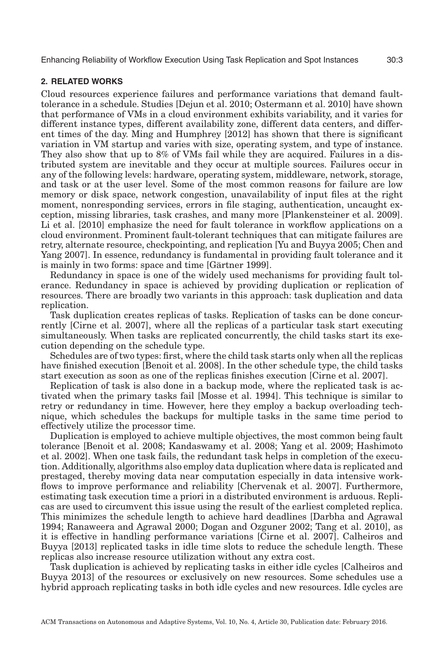# **2. RELATED WORKS**

Cloud resources experience failures and performance variations that demand faulttolerance in a schedule. Studies [Dejun et al. [2010;](#page-18-2) Ostermann et al. [2010\]](#page-19-6) have shown that performance of VMs in a cloud environment exhibits variability, and it varies for different instance types, different availability zone, different data centers, and different times of the day. Ming and Humphrey [\[2012\]](#page-19-7) has shown that there is significant variation in VM startup and varies with size, operating system, and type of instance. They also show that up to 8% of VMs fail while they are acquired. Failures in a distributed system are inevitable and they occur at multiple sources. Failures occur in any of the following levels: hardware, operating system, middleware, network, storage, and task or at the user level. Some of the most common reasons for failure are low memory or disk space, network congestion, unavailability of input files at the right moment, nonresponding services, errors in file staging, authentication, uncaught exception, missing libraries, task crashes, and many more [Plankensteiner et al. [2009\]](#page-19-8). Li et al. [\[2010\]](#page-19-9) emphasize the need for fault tolerance in workflow applications on a cloud environment. Prominent fault-tolerant techniques that can mitigate failures are retry, alternate resource, checkpointing, and replication [Yu and Buyya [2005;](#page-20-1) Chen and Yang [2007\]](#page-18-4). In essence, redundancy is fundamental in providing fault tolerance and it is mainly in two forms: space and time [Gärtner [1999\]](#page-18-5).

Redundancy in space is one of the widely used mechanisms for providing fault tolerance. Redundancy in space is achieved by providing duplication or replication of resources. There are broadly two variants in this approach: task duplication and data replication.

Task duplication creates replicas of tasks. Replication of tasks can be done concurrently [Cirne et al. [2007\]](#page-18-6), where all the replicas of a particular task start executing simultaneously. When tasks are replicated concurrently, the child tasks start its execution depending on the schedule type.

Schedules are of two types: first, where the child task starts only when all the replicas have finished execution [Benoit et al. [2008\]](#page-18-7). In the other schedule type, the child tasks start execution as soon as one of the replicas finishes execution [Cirne et al. [2007\]](#page-18-6).

Replication of task is also done in a backup mode, where the replicated task is activated when the primary tasks fail [Mosse et al. [1994\]](#page-19-10). This technique is similar to retry or redundancy in time. However, here they employ a backup overloading technique, which schedules the backups for multiple tasks in the same time period to effectively utilize the processor time.

Duplication is employed to achieve multiple objectives, the most common being fault tolerance [Benoit et al. [2008;](#page-18-7) Kandaswamy et al. [2008;](#page-19-11) Yang et al. [2009;](#page-20-2) Hashimoto et al. [2002\]](#page-18-8). When one task fails, the redundant task helps in completion of the execution. Additionally, algorithms also employ data duplication where data is replicated and prestaged, thereby moving data near computation especially in data intensive workflows to improve performance and reliability [Chervenak et al. [2007\]](#page-18-9). Furthermore, estimating task execution time a priori in a distributed environment is arduous. Replicas are used to circumvent this issue using the result of the earliest completed replica. This minimizes the schedule length to achieve hard deadlines [Darbha and Agrawal [1994;](#page-18-10) Ranaweera and Agrawal [2000;](#page-19-12) Dogan and Ozguner [2002;](#page-18-11) Tang et al. [2010\]](#page-20-3), as it is effective in handling performance variations [Cirne et al. [2007\]](#page-18-6). Calheiros and Buyya [\[2013\]](#page-18-12) replicated tasks in idle time slots to reduce the schedule length. These replicas also increase resource utilization without any extra cost.

Task duplication is achieved by replicating tasks in either idle cycles [Calheiros and Buyya [2013\]](#page-18-12) of the resources or exclusively on new resources. Some schedules use a hybrid approach replicating tasks in both idle cycles and new resources. Idle cycles are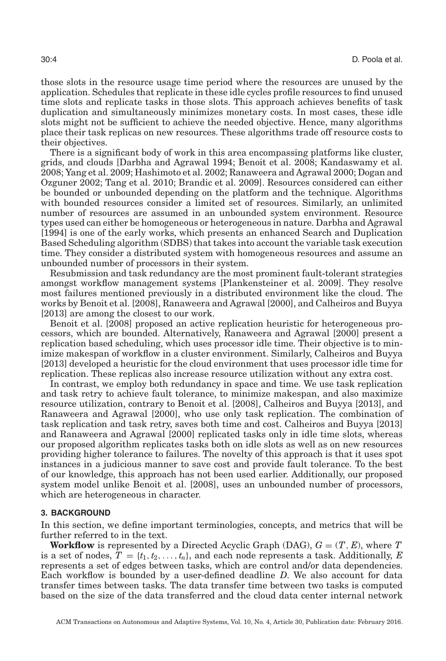those slots in the resource usage time period where the resources are unused by the application. Schedules that replicate in these idle cycles profile resources to find unused time slots and replicate tasks in those slots. This approach achieves benefits of task duplication and simultaneously minimizes monetary costs. In most cases, these idle slots might not be sufficient to achieve the needed objective. Hence, many algorithms place their task replicas on new resources. These algorithms trade off resource costs to their objectives.

There is a significant body of work in this area encompassing platforms like cluster, grids, and clouds [Darbha and Agrawal [1994;](#page-18-10) Benoit et al. [2008;](#page-18-7) Kandaswamy et al. [2008;](#page-19-11) Yang et al. [2009;](#page-20-2) Hashimoto et al. [2002;](#page-18-8) Ranaweera and Agrawal [2000;](#page-19-12) Dogan and Ozguner [2002;](#page-18-11) Tang et al. [2010;](#page-20-3) Brandic et al. [2009\]](#page-18-13). Resources considered can either be bounded or unbounded depending on the platform and the technique. Algorithms with bounded resources consider a limited set of resources. Similarly, an unlimited number of resources are assumed in an unbounded system environment. Resource types used can either be homogeneous or heterogeneous in nature. Darbha and Agrawal [\[1994\]](#page-18-10) is one of the early works, which presents an enhanced Search and Duplication Based Scheduling algorithm (SDBS) that takes into account the variable task execution time. They consider a distributed system with homogeneous resources and assume an unbounded number of processors in their system.

Resubmission and task redundancy are the most prominent fault-tolerant strategies amongst workflow management systems [Plankensteiner et al. [2009\]](#page-19-8). They resolve most failures mentioned previously in a distributed environment like the cloud. The works by Benoit et al. [\[2008\]](#page-18-7), Ranaweera and Agrawal [\[2000\]](#page-19-12), and Calheiros and Buyya [\[2013\]](#page-18-12) are among the closest to our work.

Benoit et al. [\[2008\]](#page-18-7) proposed an active replication heuristic for heterogeneous processors, which are bounded. Alternatively, Ranaweera and Agrawal [\[2000\]](#page-19-12) present a replication based scheduling, which uses processor idle time. Their objective is to minimize makespan of workflow in a cluster environment. Similarly, Calheiros and Buyya [\[2013\]](#page-18-12) developed a heuristic for the cloud environment that uses processor idle time for replication. These replicas also increase resource utilization without any extra cost.

In contrast, we employ both redundancy in space and time. We use task replication and task retry to achieve fault tolerance, to minimize makespan, and also maximize resource utilization, contrary to Benoit et al. [\[2008\]](#page-18-7), Calheiros and Buyya [\[2013\]](#page-18-12), and Ranaweera and Agrawal [\[2000\]](#page-19-12), who use only task replication. The combination of task replication and task retry, saves both time and cost. Calheiros and Buyya [\[2013\]](#page-18-12) and Ranaweera and Agrawal [\[2000\]](#page-19-12) replicated tasks only in idle time slots, whereas our proposed algorithm replicates tasks both on idle slots as well as on new resources providing higher tolerance to failures. The novelty of this approach is that it uses spot instances in a judicious manner to save cost and provide fault tolerance. To the best of our knowledge, this approach has not been used earlier. Additionally, our proposed system model unlike Benoit et al. [\[2008\]](#page-18-7), uses an unbounded number of processors, which are heterogeneous in character.

### **3. BACKGROUND**

<span id="page-3-0"></span>In this section, we define important terminologies, concepts, and metrics that will be further referred to in the text.

**Workflow** is represented by a Directed Acyclic Graph (DAG),  $G = (T, E)$ , where *T* is a set of nodes,  $T = \{t_1, t_2, \ldots, t_n\}$ , and each node represents a task. Additionally, E represents a set of edges between tasks, which are control and/or data dependencies. Each workflow is bounded by a user-defined deadline *D*. We also account for data transfer times between tasks. The data transfer time between two tasks is computed based on the size of the data transferred and the cloud data center internal network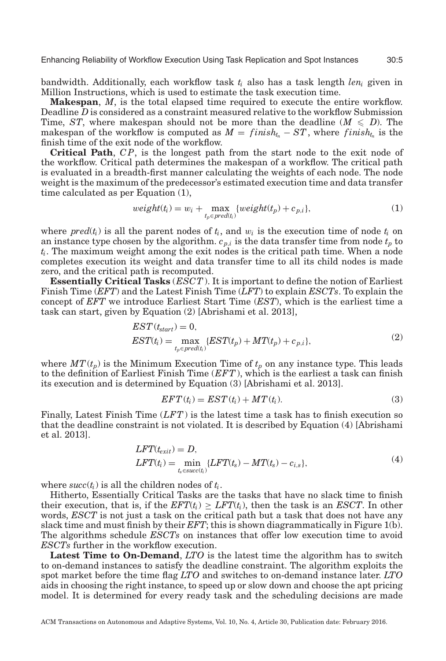bandwidth. Additionally, each workflow task *ti* also has a task length *leni* given in Million Instructions, which is used to estimate the task execution time.

**Makespan**, *M*, is the total elapsed time required to execute the entire workflow. Deadline *D* is considered as a constraint measured relative to the workflow Submission Time, *ST*, where makespan should not be more than the deadline ( $M \le D$ ). The makespan of the workflow is computed as  $M = finish_{t_n} - ST$ , where  $finish_{t_n}$  is the finish time of the exit node of the workflow.

**Critical Path**, *C P*, is the longest path from the start node to the exit node of the workflow. Critical path determines the makespan of a workflow. The critical path is evaluated in a breadth-first manner calculating the weights of each node. The node weight is the maximum of the predecessor's estimated execution time and data transfer time calculated as per Equation (1),

$$
weight(t_i) = w_i + \max_{t_p \in pred(t_i)} \{weight(t_p) + c_{p,i}\},\tag{1}
$$

where  $pred(t_i)$  is all the parent nodes of  $t_i$ , and  $w_i$  is the execution time of node  $t_i$  on an instance type chosen by the algorithm.  $c_{p,i}$  is the data transfer time from node  $t_p$  to *ti*. The maximum weight among the exit nodes is the critical path time. When a node completes execution its weight and data transfer time to all its child nodes is made zero, and the critical path is recomputed.

**Essentially Critical Tasks** (*ESCT*). It is important to define the notion of Earliest Finish Time (*EFT*) and the Latest Finish Time (*LFT*) to explain *ESCTs*. To explain the concept of *EFT* we introduce Earliest Start Time (*EST*), which is the earliest time a task can start, given by Equation (2) [Abrishami et al. [2013\]](#page-18-14),

$$
EST(t_{start}) = 0,
$$
  
\n
$$
EST(t_i) = \max_{t_p \in pred(t_i)} \{EST(t_p) + MT(t_p) + c_{p,i}\},
$$
\n(2)

where  $MT(t_p)$  is the Minimum Execution Time of  $t_p$  on any instance type. This leads to the definition of Earliest Finish Time (*EFT*), which is the earliest a task can finish its execution and is determined by Equation (3) [Abrishami et al. [2013\]](#page-18-14).

$$
EFT(t_i) = EST(t_i) + MT(t_i). \tag{3}
$$

Finally, Latest Finish Time (*LFT*) is the latest time a task has to finish execution so that the deadline constraint is not violated. It is described by Equation (4) [Abrishami et al. [2013\]](#page-18-14).

$$
LFT(t_{exit}) = D,\nLFT(t_i) = \min_{t_s \in succ(t_i)} \{LFT(t_s) - MT(t_s) - c_{i,s}\},
$$
\n(4)

where  $succ(t_i)$  is all the children nodes of  $t_i$ .

Hitherto, Essentially Critical Tasks are the tasks that have no slack time to finish their execution, that is, if the  $EFT(t_i) \geq LFT(t_i)$ , then the task is an *ESCT*. In other words, *ESCT* is not just a task on the critical path but a task that does not have any slack time and must finish by their *EFT*; this is shown diagrammatically in Figure [1\(](#page-5-0)b). The algorithms schedule *ESCTs* on instances that offer low execution time to avoid *ESCTs* further in the workflow execution.

**Latest Time to On-Demand**, *LTO* is the latest time the algorithm has to switch to on-demand instances to satisfy the deadline constraint. The algorithm exploits the spot market before the time flag *LTO* and switches to on-demand instance later. *LTO* aids in choosing the right instance, to speed up or slow down and choose the apt pricing model. It is determined for every ready task and the scheduling decisions are made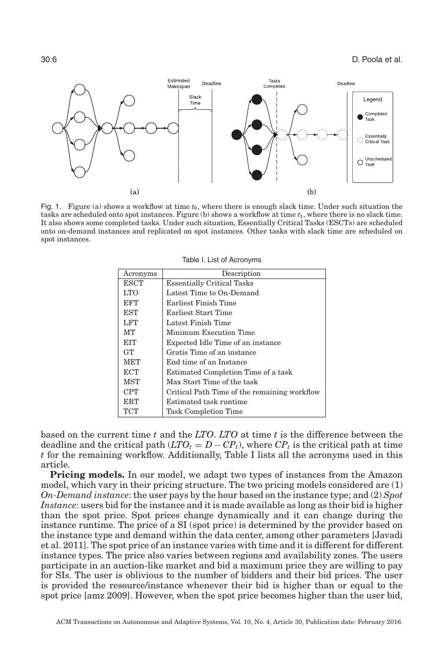<span id="page-5-0"></span>

<span id="page-5-1"></span>Fig. 1. Figure (a) shows a workflow at time *t*0, where there is enough slack time. Under such situation the tasks are scheduled onto spot instances. Figure (b) shows a workflow at time *t*1, where there is no slack time. It also shows some completed tasks. Under such situation, Essentially Critical Tasks (ESCTs) are scheduled onto on-demand instances and replicated on spot instances. Other tasks with slack time are scheduled on spot instances.

| Acronyms    | Description                                  |  |  |  |
|-------------|----------------------------------------------|--|--|--|
| <b>ESCT</b> | <b>Essentially Critical Tasks</b>            |  |  |  |
| LTO         | Latest Time to On-Demand                     |  |  |  |
| EFT         | Earliest Finish Time                         |  |  |  |
| EST         | Earliest Start Time                          |  |  |  |
| LFT         | Latest Finish Time                           |  |  |  |
| MT          | Minimum Execution Time                       |  |  |  |
| EIT         | Expected Idle Time of an instance            |  |  |  |
| <b>GT</b>   | Gratis Time of an instance                   |  |  |  |
| <b>MET</b>  | End time of an Instance                      |  |  |  |
| <b>ECT</b>  | Estimated Completion Time of a task          |  |  |  |
| <b>MST</b>  | Max Start Time of the task                   |  |  |  |
| <b>CPT</b>  | Critical Path Time of the remaining workflow |  |  |  |
| ERT         | Estimated task runtime                       |  |  |  |
| TCT         | <b>Task Completion Time</b>                  |  |  |  |

Table I. List of Acronyms

based on the current time *t* and the *LTO*. *LTO* at time *t* is the difference between the deadline and the critical path  $(LTO_t = D - CP_t)$ , where  $CP_t$  is the critical path at time *t* for the remaining workflow. Additionally, Table [I](#page-5-1) lists all the acronyms used in this article.

**Pricing models.** In our model, we adapt two types of instances from the Amazon model, which vary in their pricing structure. The two pricing models considered are (1) *On-Demand instance*: the user pays by the hour based on the instance type; and (2) *Spot Instance*: users bid for the instance and it is made available as long as their bid is higher than the spot price. Spot prices change dynamically and it can change during the instance runtime. The price of a SI (spot price) is determined by the provider based on the instance type and demand within the data center, among other parameters [Javadi et al. [2011\]](#page-19-5). The spot price of an instance varies with time and it is different for different instance types. The price also varies between regions and availability zones. The users participate in an auction-like market and bid a maximum price they are willing to pay for SIs. The user is oblivious to the number of bidders and their bid prices. The user is provided the resource/instance whenever their bid is higher than or equal to the spot price [amz [2009\]](#page-18-15). However, when the spot price becomes higher than the user bid,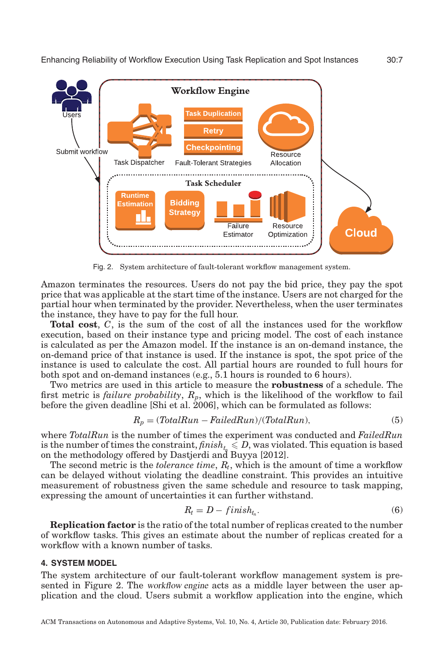<span id="page-6-0"></span>

Fig. 2. System architecture of fault-tolerant workflow management system.

Amazon terminates the resources. Users do not pay the bid price, they pay the spot price that was applicable at the start time of the instance. Users are not charged for the partial hour when terminated by the provider. Nevertheless, when the user terminates the instance, they have to pay for the full hour.

**Total cost**, *C*, is the sum of the cost of all the instances used for the workflow execution, based on their instance type and pricing model. The cost of each instance is calculated as per the Amazon model. If the instance is an on-demand instance, the on-demand price of that instance is used. If the instance is spot, the spot price of the instance is used to calculate the cost. All partial hours are rounded to full hours for both spot and on-demand instances (e.g., 5.1 hours is rounded to 6 hours).

Two metrics are used in this article to measure the **robustness** of a schedule. The first metric is *failure probability*, *Rp*, which is the likelihood of the workflow to fail before the given deadline [Shi et al. [2006\]](#page-19-13), which can be formulated as follows:

$$
R_p = (TotalRun - FailedRun)/(TotalRun), \tag{5}
$$

where *TotalRun* is the number of times the experiment was conducted and *FailedRun* is the number of times the constraint,  $\textit{fnik}_{t_{p}} \leq D,$  was violated. This equation is based on the methodology offered by Dastjerdi and Buyya [\[2012\]](#page-18-16).

The second metric is the *tolerance time*, *Rt*, which is the amount of time a workflow can be delayed without violating the deadline constraint. This provides an intuitive measurement of robustness given the same schedule and resource to task mapping, expressing the amount of uncertainties it can further withstand.

$$
R_t = D - finish_{t_n}.\tag{6}
$$

**Replication factor** is the ratio of the total number of replicas created to the number of workflow tasks. This gives an estimate about the number of replicas created for a workflow with a known number of tasks.

# **4. SYSTEM MODEL**

The system architecture of our fault-tolerant workflow management system is presented in Figure [2.](#page-6-0) The workflow engine acts as a middle layer between the user application and the cloud. Users submit a workflow application into the engine, which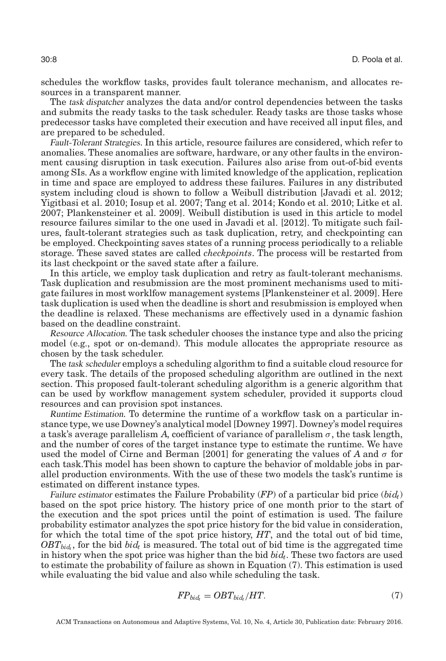schedules the workflow tasks, provides fault tolerance mechanism, and allocates resources in a transparent manner.

The task dispatcher analyzes the data and/or control dependencies between the tasks and submits the ready tasks to the task scheduler. Ready tasks are those tasks whose predecessor tasks have completed their execution and have received all input files, and are prepared to be scheduled.

Fault-Tolerant Strategies. In this article, resource failures are considered, which refer to anomalies. These anomalies are software, hardware, or any other faults in the environment causing disruption in task execution. Failures also arise from out-of-bid events among SIs. As a workflow engine with limited knowledge of the application, replication in time and space are employed to address these failures. Failures in any distributed system including cloud is shown to follow a Weibull distribution [Javadi et al. [2012;](#page-19-14) Yigitbasi et al. [2010;](#page-20-4) Iosup et al. [2007;](#page-19-15) Tang et al. [2014;](#page-20-5) Kondo et al. [2010;](#page-19-16) Litke et al. [2007;](#page-19-17) Plankensteiner et al. [2009\]](#page-19-8). Weibull distibution is used in this article to model resource failures similar to the one used in Javadi et al. [\[2012\]](#page-19-14). To mitigate such failures, fault-tolerant strategies such as task duplication, retry, and checkpointing can be employed. Checkpointing saves states of a running process periodically to a reliable storage. These saved states are called *checkpoints*. The process will be restarted from its last checkpoint or the saved state after a failure.

In this article, we employ task duplication and retry as fault-tolerant mechanisms. Task duplication and resubmission are the most prominent mechanisms used to mitigate failures in most worklfow management systems [Plankensteiner et al. [2009\]](#page-19-8). Here task duplication is used when the deadline is short and resubmission is employed when the deadline is relaxed. These mechanisms are effectively used in a dynamic fashion based on the deadline constraint.

Resource Allocation. The task scheduler chooses the instance type and also the pricing model (e.g., spot or on-demand). This module allocates the appropriate resource as chosen by the task scheduler.

The task scheduler employs a scheduling algorithm to find a suitable cloud resource for every task. The details of the proposed scheduling algorithm are outlined in the next section. This proposed fault-tolerant scheduling algorithm is a generic algorithm that can be used by workflow management system scheduler, provided it supports cloud resources and can provision spot instances.

Runtime Estimation. To determine the runtime of a workflow task on a particular instance type, we use Downey's analytical model [Downey [1997\]](#page-18-17). Downey's model requires a task's average parallelism A, coefficient of variance of parallelism  $\sigma$ , the task length, and the number of cores of the target instance type to estimate the runtime. We have used the model of Cirne and Berman [\[2001\]](#page-18-18) for generating the values of A and  $\sigma$  for each task.This model has been shown to capture the behavior of moldable jobs in parallel production environments. With the use of these two models the task's runtime is estimated on different instance types.

Failure estimator estimates the Failure Probability  $(FP)$  of a particular bid price  $(bid_t)$ based on the spot price history. The history price of one month prior to the start of the execution and the spot prices until the point of estimation is used. The failure probability estimator analyzes the spot price history for the bid value in consideration, for which the total time of the spot price history, *HT*, and the total out of bid time,  $OBT_{bid}$ , for the bid *bid<sub>t</sub>* is measured. The total out of bid time is the aggregated time in history when the spot price was higher than the bid  $bid_t$ . These two factors are used to estimate the probability of failure as shown in Equation (7). This estimation is used while evaluating the bid value and also while scheduling the task.

$$
FP_{bid_t} = OBT_{bid_t}/HT.
$$
\n<sup>(7)</sup>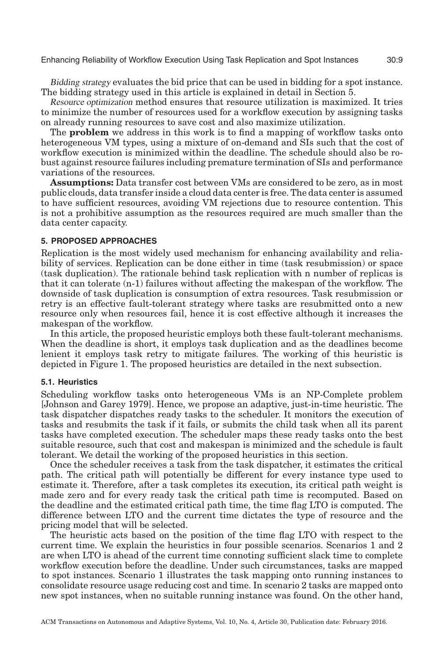Bidding strategy evaluates the bid price that can be used in bidding for a spot instance. The bidding strategy used in this article is explained in detail in Section [5.](#page-8-0)

Resource optimization method ensures that resource utilization is maximized. It tries to minimize the number of resources used for a workflow execution by assigning tasks on already running resources to save cost and also maximize utilization.

The **problem** we address in this work is to find a mapping of workflow tasks onto heterogeneous VM types, using a mixture of on-demand and SIs such that the cost of workflow execution is minimized within the deadline. The schedule should also be robust against resource failures including premature termination of SIs and performance variations of the resources.

**Assumptions:** Data transfer cost between VMs are considered to be zero, as in most public clouds, data transfer inside a cloud data center is free. The data center is assumed to have sufficient resources, avoiding VM rejections due to resource contention. This is not a prohibitive assumption as the resources required are much smaller than the data center capacity.

# **5. PROPOSED APPROACHES**

<span id="page-8-0"></span>Replication is the most widely used mechanism for enhancing availability and reliability of services. Replication can be done either in time (task resubmission) or space (task duplication). The rationale behind task replication with n number of replicas is that it can tolerate (n-1) failures without affecting the makespan of the workflow. The downside of task duplication is consumption of extra resources. Task resubmission or retry is an effective fault-tolerant strategy where tasks are resubmitted onto a new resource only when resources fail, hence it is cost effective although it increases the makespan of the workflow.

In this article, the proposed heuristic employs both these fault-tolerant mechanisms. When the deadline is short, it employs task duplication and as the deadlines become lenient it employs task retry to mitigate failures. The working of this heuristic is depicted in Figure [1.](#page-5-0) The proposed heuristics are detailed in the next subsection.

### **5.1. Heuristics**

Scheduling workflow tasks onto heterogeneous VMs is an NP-Complete problem [Johnson and Garey [1979\]](#page-19-18). Hence, we propose an adaptive, just-in-time heuristic. The task dispatcher dispatches ready tasks to the scheduler. It monitors the execution of tasks and resubmits the task if it fails, or submits the child task when all its parent tasks have completed execution. The scheduler maps these ready tasks onto the best suitable resource, such that cost and makespan is minimized and the schedule is fault tolerant. We detail the working of the proposed heuristics in this section.

Once the scheduler receives a task from the task dispatcher, it estimates the critical path. The critical path will potentially be different for every instance type used to estimate it. Therefore, after a task completes its execution, its critical path weight is made zero and for every ready task the critical path time is recomputed. Based on the deadline and the estimated critical path time, the time flag LTO is computed. The difference between LTO and the current time dictates the type of resource and the pricing model that will be selected.

The heuristic acts based on the position of the time flag LTO with respect to the current time. We explain the heuristics in four possible scenarios. Scenarios 1 and 2 are when LTO is ahead of the current time connoting sufficient slack time to complete workflow execution before the deadline. Under such circumstances, tasks are mapped to spot instances. Scenario 1 illustrates the task mapping onto running instances to consolidate resource usage reducing cost and time. In scenario 2 tasks are mapped onto new spot instances, when no suitable running instance was found. On the other hand,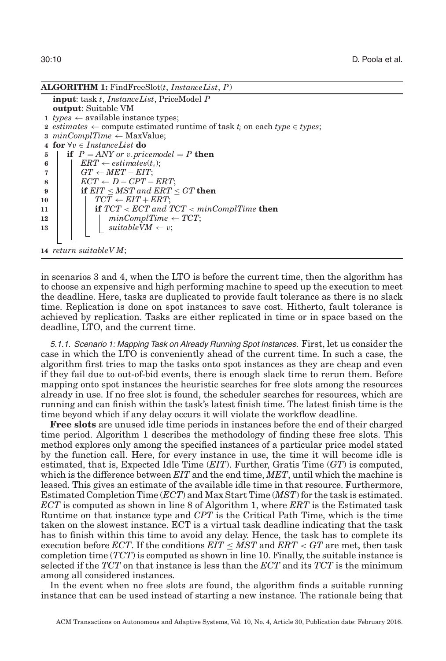```
ALGORITHM 1: FindFreeSlot(t, InstanceList, P)
   input: task t, InstanceList, PriceModel P
   output: Suitable VM
 1 types \leftarrow available instance types;
 2 estimates ← compute estimated runtime of task t_i on each type ∈ types;
 3 minComplTime ← MaxValue;
 4 for ∀v ∈ InstanceList do
5 if P = ANY or v. pricemodel = P then
\begin{array}{c|c} \n6 & \n\end{array} ERT \leftarrow estimates(t<sub>v</sub>);<br>
6 F \leftarrow MET \leftarrow EIT:
           GT \leftarrow MET - EIT;\mathbf{8} | ECT ← D – CPT – ERT;
9 if EIT ≤ MST and ERT ≤ GT then
10 | | TCT \leftarrow EIT + ERT;11 if TCT < ECT and TCT < minComplTime then
12 i i minComplTime \leftarrow TCT;
13 bi \vert bi \vert suitableVM \leftarrow v;
14 return suitableV M;
```
in scenarios 3 and 4, when the LTO is before the current time, then the algorithm has to choose an expensive and high performing machine to speed up the execution to meet the deadline. Here, tasks are duplicated to provide fault tolerance as there is no slack time. Replication is done on spot instances to save cost. Hitherto, fault tolerance is achieved by replication. Tasks are either replicated in time or in space based on the deadline, LTO, and the current time.

5.1.1. Scenario 1: Mapping Task on Already Running Spot Instances. First, let us consider the case in which the LTO is conveniently ahead of the current time. In such a case, the algorithm first tries to map the tasks onto spot instances as they are cheap and even if they fail due to out-of-bid events, there is enough slack time to rerun them. Before mapping onto spot instances the heuristic searches for free slots among the resources already in use. If no free slot is found, the scheduler searches for resources, which are running and can finish within the task's latest finish time. The latest finish time is the time beyond which if any delay occurs it will violate the workflow deadline.

**Free slots** are unused idle time periods in instances before the end of their charged time period. Algorithm 1 describes the methodology of finding these free slots. This method explores only among the specified instances of a particular price model stated by the function call. Here, for every instance in use, the time it will become idle is estimated, that is, Expected Idle Time (*EIT*). Further, Gratis Time (*GT*) is computed, which is the difference between *EIT* and the end time, *MET*, until which the machine is leased. This gives an estimate of the available idle time in that resource. Furthermore, Estimated Completion Time (*ECT*) and Max Start Time (*MST*) for the task is estimated. *ECT* is computed as shown in line 8 of Algorithm 1, where *ERT* is the Estimated task Runtime on that instance type and *CPT* is the Critical Path Time, which is the time taken on the slowest instance. ECT is a virtual task deadline indicating that the task has to finish within this time to avoid any delay. Hence, the task has to complete its execution before *ECT*. If the conditions  $EIT \leq MST$  and  $ERT < GT$  are met, then task completion time (*TCT*) is computed as shown in line 10. Finally, the suitable instance is selected if the *TCT* on that instance is less than the *ECT* and its *TCT* is the minimum among all considered instances.

In the event when no free slots are found, the algorithm finds a suitable running instance that can be used instead of starting a new instance. The rationale being that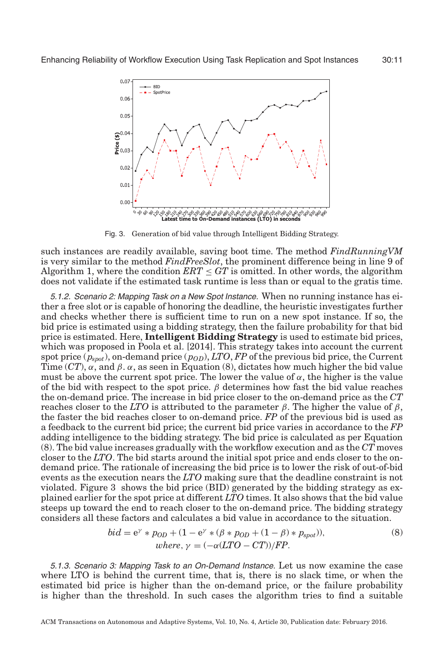<span id="page-10-0"></span>

Fig. 3. Generation of bid value through Intelligent Bidding Strategy.

such instances are readily available, saving boot time. The method *FindRunningVM* is very similar to the method *FindFreeSlot*, the prominent difference being in line 9 of Algorithm 1, where the condition  $ERT \le GT$  is omitted. In other words, the algorithm does not validate if the estimated task runtime is less than or equal to the gratis time.

5.1.2. Scenario 2: Mapping Task on <sup>a</sup> New Spot Instance. When no running instance has either a free slot or is capable of honoring the deadline, the heuristic investigates further and checks whether there is sufficient time to run on a new spot instance. If so, the bid price is estimated using a bidding strategy, then the failure probability for that bid price is estimated. Here, **Intelligent Bidding Strategy** is used to estimate bid prices, which was proposed in Poola et al. [\[2014\]](#page-19-3). This strategy takes into account the current spot price  $(p_{spot})$ , on-demand price  $(p_{OD})$ , *LTO*, *FP* of the previous bid price, the Current Time (*CT*),  $\alpha$ , and  $\beta$ .  $\alpha$ , as seen in Equation (8), dictates how much higher the bid value must be above the current spot price. The lower the value of  $\alpha$ , the higher is the value of the bid with respect to the spot price.  $\beta$  determines how fast the bid value reaches the on-demand price. The increase in bid price closer to the on-demand price as the *CT* reaches closer to the *LTO* is attributed to the parameter β. The higher the value of β, the faster the bid reaches closer to on-demand price. *FP* of the previous bid is used as a feedback to the current bid price; the current bid price varies in accordance to the *FP* adding intelligence to the bidding strategy. The bid price is calculated as per Equation (8). The bid value increases gradually with the workflow execution and as the *CT* moves closer to the *LTO*. The bid starts around the initial spot price and ends closer to the ondemand price. The rationale of increasing the bid price is to lower the risk of out-of-bid events as the execution nears the *LTO* making sure that the deadline constraint is not violated. Figure [3](#page-10-0) shows the bid price (BID) generated by the bidding strategy as explained earlier for the spot price at different *LTO* times. It also shows that the bid value steeps up toward the end to reach closer to the on-demand price. The bidding strategy considers all these factors and calculates a bid value in accordance to the situation.

$$
bid = e^{\gamma} * p_{OD} + (1 - e^{\gamma} * (\beta * p_{OD} + (1 - \beta) * p_{spot})),
$$
  
where,  $\gamma = (-\alpha (LTO - CT))/FP$ . (8)

5.1.3. Scenario 3: Mapping Task to an On-Demand Instance. Let us now examine the case where LTO is behind the current time, that is, there is no slack time, or when the estimated bid price is higher than the on-demand price, or the failure probability is higher than the threshold. In such cases the algorithm tries to find a suitable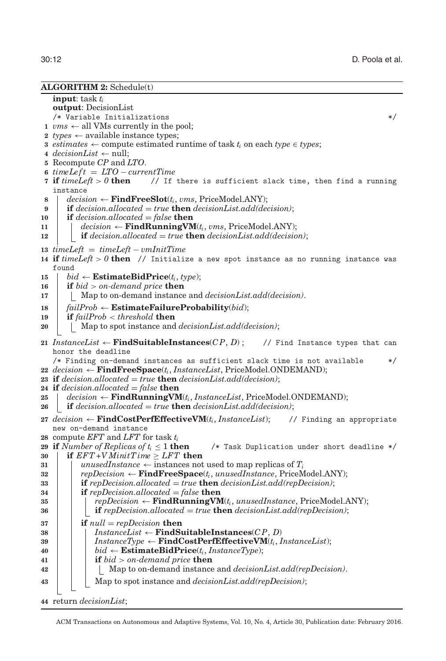#### **ALGORITHM 2:** Schedule(t)

**input**: task *ti* **output**: DecisionList /\* Variable Initializations \*/  $\nu$ ms  $\leftarrow$  all VMs currently in the pool; *types*  $\leftarrow$  available instance types; *estimates* ← compute estimated runtime of task  $t_i$  on each *type* ∈ *types*; *decisionList* ← null; Recompute *CP* and *LTO*. *timeLe f t* = *LTO* − *currentTime* **if** *timeLeft* > *0* **then** // If there is sufficient slack time, then find a running instance *decision* ← **FindFreeSlot**( $t_i$ , *vms*, PriceModel.ANY); **if** *decision.allocated* = *true* **then** *decisionList.add(decision)*; **if** *decision.allocated* = *false* **then**  $\vert$  *decision*  $\leftarrow$  **FindRunningVM**( $t_i$ , *vms*, PriceModel.ANY); **if** *decision.allocated* = *true* **then** *decisionList.add(decision)*; *timeLeft* = *timeLeft* − *vmInitTime* **if** *timeLeft* > *0* **then** // Initialize a new spot instance as no running instance was found  $\vert$  *bid* ← **EstimateBidPrice**( $t_i$ , *type*); **if** *bid* > *on-demand price* **then** Map to on-demand instance and *decisionList.add(decision)*. *failProb* ← **EstimateFailureProbability**(*bid*); **if** *failProb* < *threshold* **then** 20 | | Map to spot instance and *decisionList.add(decision)*; *InstanceList* ← **FindSuitableInstances**( $\mathcal{CP}, \mathcal{D}$ ); // Find Instance types that can honor the deadline /\* Finding on-demand instances as sufficient slack time is not available \*/ *decision* ← **FindFreeSpace**( $t_i$ , *InstanceList*, PriceModel.ONDEMAND); **if** *decision.allocated* = *true* **then** *decisionList.add(decision)*; **if** *decision.allocated* = *false* **then**  $\vert$  *decision* ← **FindRunningVM**( $t_i$ , *InstanceList*, PriceModel.ONDEMAND); **if** *decision.allocated* = *true* **then** *decisionList.add(decision)*; *decision* ← **FindCostPerfEffectiveVM**(*ti*, *InstanceList*); // Finding an appropriate new on-demand instance compute *EFT* and *LFT* for task *ti* **29 if** *Number of Replicas of t<sub>i</sub>*  $\leq$  1 **then** /\* Task Duplication under short deadline \*/ **if**  $EFT+V$  *MinitTime*  $\geq$  *LFT* **then unusedInstance**  $\leftarrow$  instances not used to map replicas of  $T_i$  *repDecision* ← **FindFreeSpace**( $t_i$ , *unusedInstance*, PriceModel.ANY);<br> **33 if**  $repDecision\_allowated = true$  **then**  $decisionList.add(repDecision)$ : *if*  $repDecision. allocated = true$  **then**  $decisionList.add(repDecision);$  **if** *repDecision.allocated* = *false* **then** *repDecision* ← **FindRunningVM**(*ti*, *unusedInstance*, PriceModel.ANY); **if** *repDecision.allocated* = *true* **then** *decisionList.add(repDecision)*; **if** *null* = *repDecision* **then** *InstanceList* ← **FindSuitableInstances**(*C P*, *D*)  $\mathbf{39}$  | | *InstanceType* ← **FindCostPerfEffectiveVM**( $t_i$ , *InstanceList*);  $\vert$  **bid** ← **EstimateBidPrice**( $t_i$ , *InstanceType*); **if** *bid* > *on-demand price* **then** Map to on-demand instance and *decisionList.add(repDecision)*. Map to spot instance and *decisionList.add(repDecision)*;

**44** return *decisionList*;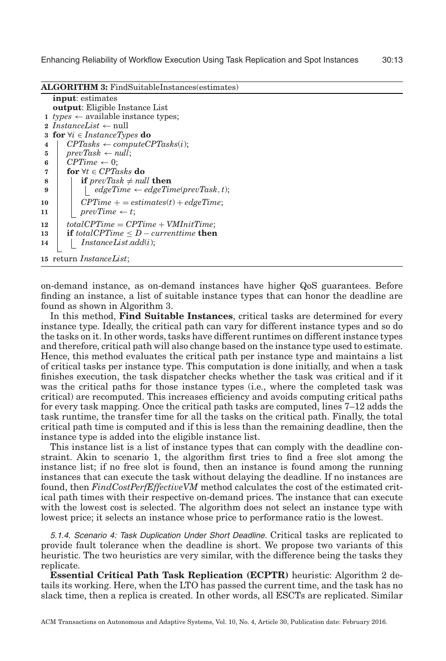**ALGORITHM 3:** FindSuitableInstances(estimates)

```
input: estimates
   output: Eligible Instance List
 1 types \leftarrow available instance types;
 2 InstanceList ← null
3 for ∀i ∈ InstanceTypes do
4 \mid CPTasks \leftarrow computeCPTasks(i);5 prevTask \leftarrow null;
6 \mid CPTime \leftarrow 0;7 for ∀t ∈ CPTasks do
8 if prevTask \neq null then
9 edgeTime ← edgeTime(prevTask,t);
10 cance \qquad c \qquad CPTime + = estimates(t) + edgeTime;
11 prevTime \leftarrow t;
12 totalCPTime = CPTime + VMInitTime;
13 if totalCPTime ≤ D − currenttime then
14 InstanceList.add(i);
15 return InstanceList;
```
on-demand instance, as on-demand instances have higher QoS guarantees. Before finding an instance, a list of suitable instance types that can honor the deadline are found as shown in Algorithm 3.

In this method, **Find Suitable Instances**, critical tasks are determined for every instance type. Ideally, the critical path can vary for different instance types and so do the tasks on it. In other words, tasks have different runtimes on different instance types and therefore, critical path will also change based on the instance type used to estimate. Hence, this method evaluates the critical path per instance type and maintains a list of critical tasks per instance type. This computation is done initially, and when a task finishes execution, the task dispatcher checks whether the task was critical and if it was the critical paths for those instance types (i.e., where the completed task was critical) are recomputed. This increases efficiency and avoids computing critical paths for every task mapping. Once the critical path tasks are computed, lines 7–12 adds the task runtime, the transfer time for all the tasks on the critical path. Finally, the total critical path time is computed and if this is less than the remaining deadline, then the instance type is added into the eligible instance list.

This instance list is a list of instance types that can comply with the deadline constraint. Akin to scenario 1, the algorithm first tries to find a free slot among the instance list; if no free slot is found, then an instance is found among the running instances that can execute the task without delaying the deadline. If no instances are found, then *FindCostPerfEffectiveVM* method calculates the cost of the estimated critical path times with their respective on-demand prices. The instance that can execute with the lowest cost is selected. The algorithm does not select an instance type with lowest price; it selects an instance whose price to performance ratio is the lowest.

5.1.4. Scenario 4: Task Duplication Under Short Deadline. Critical tasks are replicated to provide fault tolerance when the deadline is short. We propose two variants of this heuristic. The two heuristics are very similar, with the difference being the tasks they replicate.

**Essential Critical Path Task Replication (ECPTR)** heuristic: Algorithm 2 details its working. Here, when the LTO has passed the current time, and the task has no slack time, then a replica is created. In other words, all ESCTs are replicated. Similar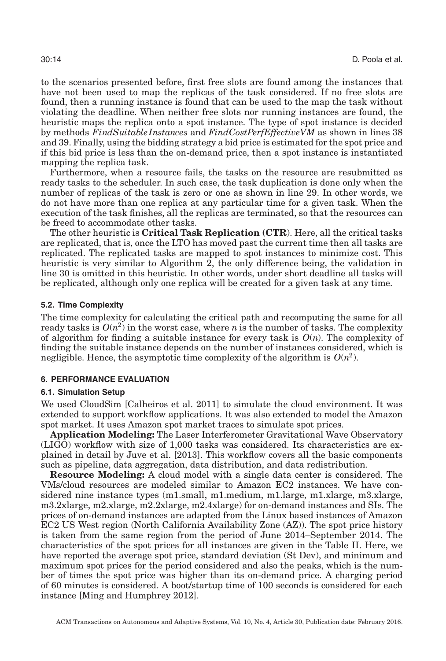to the scenarios presented before, first free slots are found among the instances that have not been used to map the replicas of the task considered. If no free slots are found, then a running instance is found that can be used to the map the task without violating the deadline. When neither free slots nor running instances are found, the heuristic maps the replica onto a spot instance. The type of spot instance is decided by methods *FindSuitableInstances* and *FindCostPerfEffectiveVM* as shown in lines 38 and 39. Finally, using the bidding strategy a bid price is estimated for the spot price and if this bid price is less than the on-demand price, then a spot instance is instantiated mapping the replica task.

Furthermore, when a resource fails, the tasks on the resource are resubmitted as ready tasks to the scheduler. In such case, the task duplication is done only when the number of replicas of the task is zero or one as shown in line 29. In other words, we do not have more than one replica at any particular time for a given task. When the execution of the task finishes, all the replicas are terminated, so that the resources can be freed to accommodate other tasks.

The other heuristic is **Critical Task Replication (CTR**). Here, all the critical tasks are replicated, that is, once the LTO has moved past the current time then all tasks are replicated. The replicated tasks are mapped to spot instances to minimize cost. This heuristic is very similar to Algorithm 2, the only difference being, the validation in line 30 is omitted in this heuristic. In other words, under short deadline all tasks will be replicated, although only one replica will be created for a given task at any time.

# **5.2. Time Complexity**

The time complexity for calculating the critical path and recomputing the same for all ready tasks is  $O(n^2)$  in the worst case, where *n* is the number of tasks. The complexity of algorithm for finding a suitable instance for every task is  $O(n)$ . The complexity of finding the suitable instance depends on the number of instances considered, which is negligible. Hence, the asymptotic time complexity of the algorithm is  $O(n^2)$ .

### **6. PERFORMANCE EVALUATION**

# **6.1. Simulation Setup**

We used CloudSim [Calheiros et al. [2011\]](#page-18-19) to simulate the cloud environment. It was extended to support workflow applications. It was also extended to model the Amazon spot market. It uses Amazon spot market traces to simulate spot prices.

**Application Modeling:** The Laser Interferometer Gravitational Wave Observatory (LIGO) workflow with size of 1,000 tasks was considered. Its characteristics are explained in detail by Juve et al. [\[2013\]](#page-19-19). This workflow covers all the basic components such as pipeline, data aggregation, data distribution, and data redistribution.

**Resource Modeling:** A cloud model with a single data center is considered. The VMs/cloud resources are modeled similar to Amazon EC2 instances. We have considered nine instance types (m1.small, m1.medium, m1.large, m1.xlarge, m3.xlarge, m3.2xlarge, m2.xlarge, m2.2xlarge, m2.4xlarge) for on-demand instances and SIs. The prices of on-demand instances are adapted from the Linux based instances of Amazon EC2 US West region (North California Availability Zone (AZ)). The spot price history is taken from the same region from the period of June 2014–September 2014. The characteristics of the spot prices for all instances are given in the Table [II.](#page-14-0) Here, we have reported the average spot price, standard deviation (St Dev), and minimum and maximum spot prices for the period considered and also the peaks, which is the number of times the spot price was higher than its on-demand price. A charging period of 60 minutes is considered. A boot/startup time of 100 seconds is considered for each instance [Ming and Humphrey [2012\]](#page-19-7).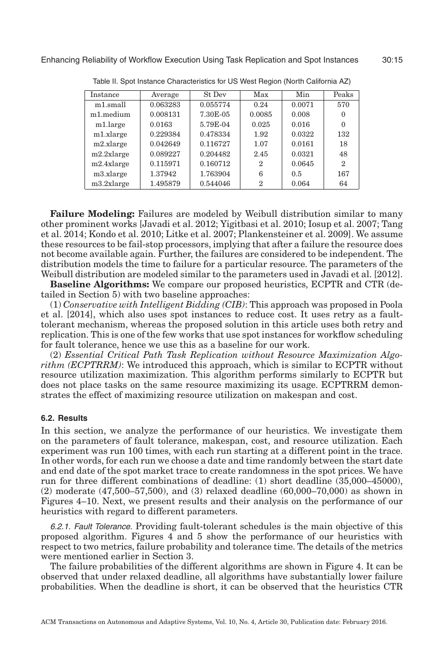<span id="page-14-0"></span>

| Instance   | Average  | St Dev   | Max          | Min    | Peaks          |
|------------|----------|----------|--------------|--------|----------------|
| m1.small   | 0.063283 | 0.055774 | 0.24         | 0.0071 | 570            |
| m1.medium  | 0.008131 | 7.30E-05 | 0.0085       | 0.008  | 0              |
| m1.large   | 0.0163   | 5.79E-04 | 0.025        | 0.016  | $\Omega$       |
| m1.xlarge  | 0.229384 | 0.478334 | 1.92         | 0.0322 | 132            |
| m2.xlarge  | 0.042649 | 0.116727 | 1.07         | 0.0161 | 18             |
| m2.2xlarge | 0.089227 | 0.204482 | 2.45         | 0.0321 | 48             |
| m2.4xlarge | 0.115971 | 0.160712 | $\mathbf{2}$ | 0.0645 | $\overline{2}$ |
| m3.xlarge  | 1.37942  | 1.763904 | 6            | 0.5    | 167            |
| m3.2xlarge | 1.495879 | 0.544046 | $\mathbf{2}$ | 0.064  | 64             |

Table II. Spot Instance Characteristics for US West Region (North California AZ)

**Failure Modeling:** Failures are modeled by Weibull distribution similar to many other prominent works [Javadi et al. [2012;](#page-19-14) Yigitbasi et al. [2010;](#page-20-4) Iosup et al. [2007;](#page-19-15) Tang et al. [2014;](#page-20-5) Kondo et al. [2010;](#page-19-16) Litke et al. [2007;](#page-19-17) Plankensteiner et al. [2009\]](#page-19-8). We assume these resources to be fail-stop processors, implying that after a failure the resource does not become available again. Further, the failures are considered to be independent. The distribution models the time to failure for a particular resource. The parameters of the Weibull distribution are modeled similar to the parameters used in Javadi et al. [\[2012\]](#page-19-14).

**Baseline Algorithms:** We compare our proposed heuristics, ECPTR and CTR (detailed in Section [5\)](#page-8-0) with two baseline approaches:

(1) *Conservative with Intelligent Bidding (CIB)*: This approach was proposed in Poola et al. [\[2014\]](#page-19-3), which also uses spot instances to reduce cost. It uses retry as a faulttolerant mechanism, whereas the proposed solution in this article uses both retry and replication. This is one of the few works that use spot instances for workflow scheduling for fault tolerance, hence we use this as a baseline for our work.

(2) *Essential Critical Path Task Replication without Resource Maximization Algorithm (ECPTRRM)*: We introduced this approach, which is similar to ECPTR without resource utilization maximization. This algorithm performs similarly to ECPTR but does not place tasks on the same resource maximizing its usage. ECPTRRM demonstrates the effect of maximizing resource utilization on makespan and cost.

### **6.2. Results**

In this section, we analyze the performance of our heuristics. We investigate them on the parameters of fault tolerance, makespan, cost, and resource utilization. Each experiment was run 100 times, with each run starting at a different point in the trace. In other words, for each run we choose a date and time randomly between the start date and end date of the spot market trace to create randomness in the spot prices. We have run for three different combinations of deadline: (1) short deadline (35,000–45000), (2) moderate (47,500–57,500), and (3) relaxed deadline (60,000–70,000) as shown in Figures 4–10. Next, we present results and their analysis on the performance of our heuristics with regard to different parameters.

6.2.1. Fault Tolerance. Providing fault-tolerant schedules is the main objective of this proposed algorithm. Figures 4 and 5 show the performance of our heuristics with respect to two metrics, failure probability and tolerance time. The details of the metrics were mentioned earlier in Section [3.](#page-3-0)

The failure probabilities of the different algorithms are shown in Figure 4. It can be observed that under relaxed deadline, all algorithms have substantially lower failure probabilities. When the deadline is short, it can be observed that the heuristics CTR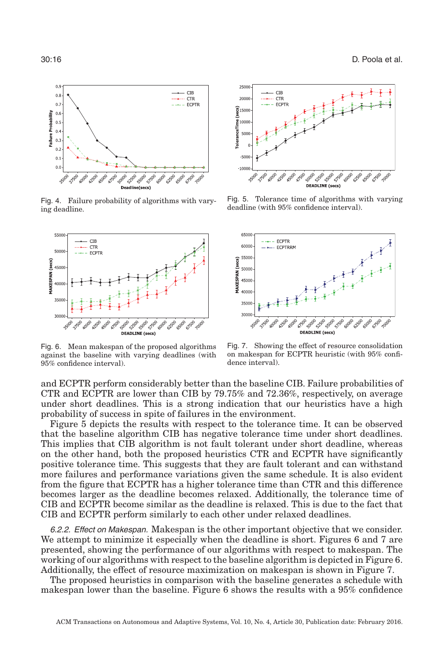

Fig. 4. Failure probability of algorithms with varying deadline.

<span id="page-15-0"></span>

Fig. 6. Mean makespan of the proposed algorithms against the baseline with varying deadlines (with 95% confidence interval).

and ECPTR perform considerably better than the baseline CIB. Failure probabilities of CTR and ECPTR are lower than CIB by 79.75% and 72.36%, respectively, on average under short deadlines. This is a strong indication that our heuristics have a high probability of success in spite of failures in the environment.

Figure 5 depicts the results with respect to the tolerance time. It can be observed that the baseline algorithm CIB has negative tolerance time under short deadlines. This implies that CIB algorithm is not fault tolerant under short deadline, whereas on the other hand, both the proposed heuristics CTR and ECPTR have significantly positive tolerance time. This suggests that they are fault tolerant and can withstand more failures and performance variations given the same schedule. It is also evident from the figure that ECPTR has a higher tolerance time than CTR and this difference becomes larger as the deadline becomes relaxed. Additionally, the tolerance time of CIB and ECPTR become similar as the deadline is relaxed. This is due to the fact that CIB and ECPTR perform similarly to each other under relaxed deadlines.

6.2.2. Effect on Makespan. Makespan is the other important objective that we consider. We attempt to minimize it especially when the deadline is short. Figures [6](#page-15-0) and [7](#page-15-1) are presented, showing the performance of our algorithms with respect to makespan. The working of our algorithms with respect to the baseline algorithm is depicted in Figure [6.](#page-15-0) Additionally, the effect of resource maximization on makespan is shown in Figure [7.](#page-15-1)

The proposed heuristics in comparison with the baseline generates a schedule with makespan lower than the baseline. Figure [6](#page-15-0) shows the results with a 95% confidence



Fig. 5. Tolerance time of algorithms with varying deadline (with 95% confidence interval).

<span id="page-15-1"></span>

Fig. 7. Showing the effect of resource consolidation on makespan for ECPTR heuristic (with 95% confidence interval).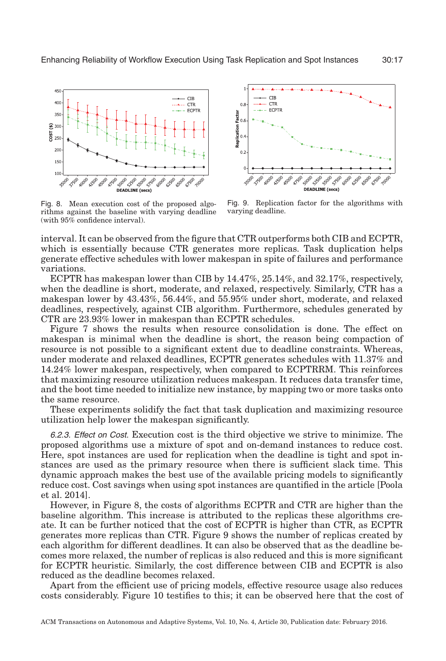<span id="page-16-0"></span>

Fig. 8. Mean execution cost of the proposed algorithms against the baseline with varying deadline (with 95% confidence interval).

<span id="page-16-1"></span>

Fig. 9. Replication factor for the algorithms with varying deadline.

interval. It can be observed from the figure that CTR outperforms both CIB and ECPTR, which is essentially because CTR generates more replicas. Task duplication helps generate effective schedules with lower makespan in spite of failures and performance variations.

ECPTR has makespan lower than CIB by 14.47%, 25.14%, and 32.17%, respectively, when the deadline is short, moderate, and relaxed, respectively. Similarly, CTR has a makespan lower by 43.43%, 56.44%, and 55.95% under short, moderate, and relaxed deadlines, respectively, against CIB algorithm. Furthermore, schedules generated by CTR are 23.93% lower in makespan than ECPTR schedules.

Figure [7](#page-15-1) shows the results when resource consolidation is done. The effect on makespan is minimal when the deadline is short, the reason being compaction of resource is not possible to a significant extent due to deadline constraints. Whereas, under moderate and relaxed deadlines, ECPTR generates schedules with 11.37% and 14.24% lower makespan, respectively, when compared to ECPTRRM. This reinforces that maximizing resource utilization reduces makespan. It reduces data transfer time, and the boot time needed to initialize new instance, by mapping two or more tasks onto the same resource.

These experiments solidify the fact that task duplication and maximizing resource utilization help lower the makespan significantly.

6.2.3. Effect on Cost. Execution cost is the third objective we strive to minimize. The proposed algorithms use a mixture of spot and on-demand instances to reduce cost. Here, spot instances are used for replication when the deadline is tight and spot instances are used as the primary resource when there is sufficient slack time. This dynamic approach makes the best use of the available pricing models to significantly reduce cost. Cost savings when using spot instances are quantified in the article [Poola et al. [2014\]](#page-19-3).

However, in Figure [8,](#page-16-0) the costs of algorithms ECPTR and CTR are higher than the baseline algorithm. This increase is attributed to the replicas these algorithms create. It can be further noticed that the cost of ECPTR is higher than CTR, as ECPTR generates more replicas than CTR. Figure [9](#page-16-1) shows the number of replicas created by each algorithm for different deadlines. It can also be observed that as the deadline becomes more relaxed, the number of replicas is also reduced and this is more significant for ECPTR heuristic. Similarly, the cost difference between CIB and ECPTR is also reduced as the deadline becomes relaxed.

Apart from the efficient use of pricing models, effective resource usage also reduces costs considerably. Figure [10](#page-17-0) testifies to this; it can be observed here that the cost of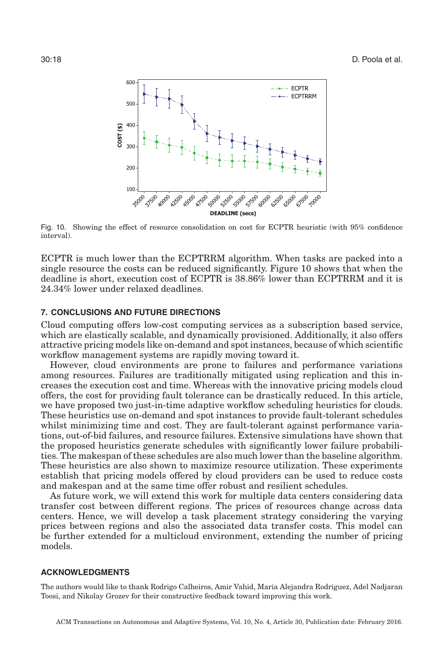<span id="page-17-0"></span>

Fig. 10. Showing the effect of resource consolidation on cost for ECPTR heuristic (with 95% confidence interval).

ECPTR is much lower than the ECPTRRM algorithm. When tasks are packed into a single resource the costs can be reduced significantly. Figure [10](#page-17-0) shows that when the deadline is short, execution cost of ECPTR is 38.86% lower than ECPTRRM and it is 24.34% lower under relaxed deadlines.

# **7. CONCLUSIONS AND FUTURE DIRECTIONS**

Cloud computing offers low-cost computing services as a subscription based service, which are elastically scalable, and dynamically provisioned. Additionally, it also offers attractive pricing models like on-demand and spot instances, because of which scientific workflow management systems are rapidly moving toward it.

However, cloud environments are prone to failures and performance variations among resources. Failures are traditionally mitigated using replication and this increases the execution cost and time. Whereas with the innovative pricing models cloud offers, the cost for providing fault tolerance can be drastically reduced. In this article, we have proposed two just-in-time adaptive workflow scheduling heuristics for clouds. These heuristics use on-demand and spot instances to provide fault-tolerant schedules whilst minimizing time and cost. They are fault-tolerant against performance variations, out-of-bid failures, and resource failures. Extensive simulations have shown that the proposed heuristics generate schedules with significantly lower failure probabilities. The makespan of these schedules are also much lower than the baseline algorithm. These heuristics are also shown to maximize resource utilization. These experiments establish that pricing models offered by cloud providers can be used to reduce costs and makespan and at the same time offer robust and resilient schedules.

As future work, we will extend this work for multiple data centers considering data transfer cost between different regions. The prices of resources change across data centers. Hence, we will develop a task placement strategy considering the varying prices between regions and also the associated data transfer costs. This model can be further extended for a multicloud environment, extending the number of pricing models.

#### **ACKNOWLEDGMENTS**

The authors would like to thank Rodrigo Calheiros, Amir Vahid, Maria Alejandra Rodriguez, Adel Nadjaran Toosi, and Nikolay Grozev for their constructive feedback toward improving this work.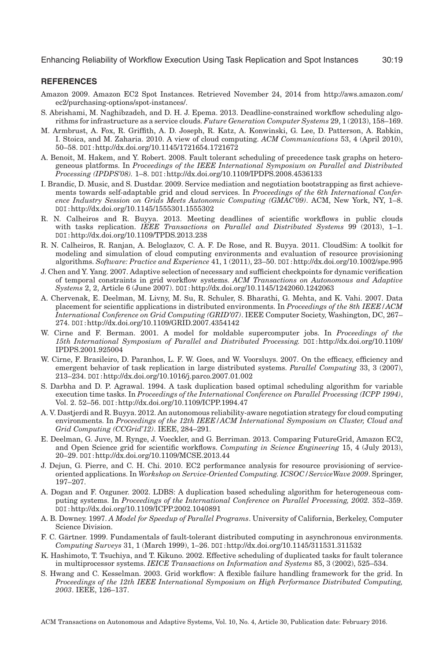# **REFERENCES**

- <span id="page-18-15"></span>Amazon 2009. Amazon EC2 Spot Instances. Retrieved November 24, 2014 from [http://aws.amazon.com/](http://aws.amazon.com/ec2/purchasing-options/spot-instances/) [ec2/purchasing-options/spot-instances/.](http://aws.amazon.com/ec2/purchasing-options/spot-instances/)
- <span id="page-18-14"></span>S. Abrishami, M. Naghibzadeh, and D. H. J. Epema. 2013. Deadline-constrained workflow scheduling algorithms for infrastructure as a service clouds. *Future Generation Computer Systems* 29, 1 (2013), 158–169.
- <span id="page-18-3"></span>M. Armbrust, A. Fox, R. Griffith, A. D. Joseph, R. Katz, A. Konwinski, G. Lee, D. Patterson, A. Rabkin, I. Stoica, and M. Zaharia. 2010. A view of cloud computing. *ACM Communications* 53, 4 (April 2010), 50–58. DOI:<http://dx.doi.org/10.1145/1721654.1721672>
- <span id="page-18-7"></span>A. Benoit, M. Hakem, and Y. Robert. 2008. Fault tolerant scheduling of precedence task graphs on heterogeneous platforms. In *Proceedings of the IEEE International Symposium on Parallel and Distributed Processing (IPDPS'08).* 1–8. DOI:<http://dx.doi.org/10.1109/IPDPS.2008.4536133>
- <span id="page-18-13"></span>I. Brandic, D. Music, and S. Dustdar. 2009. Service mediation and negotiation bootstrapping as first achievements towards self-adaptable grid and cloud services. In *Proceedings of the 6th International Conference Industry Session on Grids Meets Autonomic Computing (GMAC'09)*. ACM, New York, NY, 1–8. DOI:<http://dx.doi.org/10.1145/1555301.1555302>
- <span id="page-18-12"></span>R. N. Calheiros and R. Buyya. 2013. Meeting deadlines of scientific workflows in public clouds with tasks replication. *IEEE Transactions on Parallel and Distributed Systems* 99 (2013), 1–1. DOI:<http://dx.doi.org/10.1109/TPDS.2013.238>
- <span id="page-18-19"></span>R. N. Calheiros, R. Ranjan, A. Beloglazov, C. A. F. De Rose, and R. Buyya. 2011. CloudSim: A toolkit for modeling and simulation of cloud computing environments and evaluation of resource provisioning algorithms. *Software: Practice and Experience* 41, 1 (2011), 23–50. DOI:<http://dx.doi.org/10.1002/spe.995>
- <span id="page-18-4"></span>J. Chen and Y. Yang. 2007. Adaptive selection of necessary and sufficient checkpoints for dynamic verification of temporal constraints in grid workflow systems. *ACM Transactions on Autonomous and Adaptive Systems* 2, 2, Article 6 (June 2007). DOI:<http://dx.doi.org/10.1145/1242060.1242063>
- <span id="page-18-9"></span>A. Chervenak, E. Deelman, M. Livny, M. Su, R. Schuler, S. Bharathi, G. Mehta, and K. Vahi. 2007. Data placement for scientific applications in distributed environments. In *Proceedings of the 8th IEEE/ACM International Conference on Grid Computing (GRID'07)*. IEEE Computer Society, Washington, DC, 267– 274. DOI:<http://dx.doi.org/10.1109/GRID.2007.4354142>
- <span id="page-18-18"></span>W. Cirne and F. Berman. 2001. A model for moldable supercomputer jobs. In *Proceedings of the 15th International Symposium of Parallel and Distributed Processing.* DOI:[http://dx.doi.org/10.1109/](http://dx.doi.org/10.1109/IPDPS.2001.925004) [IPDPS.2001.925004](http://dx.doi.org/10.1109/IPDPS.2001.925004)
- <span id="page-18-6"></span>W. Cirne, F. Brasileiro, D. Paranhos, L. F. W. Goes, and W. Voorsluys. 2007. On the efficacy, efficiency and emergent behavior of task replication in large distributed systems. *Parallel Computing* 33, 3 (2007), 213–234. DOI:<http://dx.doi.org/10.1016/j.parco.2007.01.002>
- <span id="page-18-10"></span>S. Darbha and D. P. Agrawal. 1994. A task duplication based optimal scheduling algorithm for variable execution time tasks. In *Proceedings of the International Conference on Parallel Processing (ICPP 1994)*, Vol. 2. 52–56. DOI:<http://dx.doi.org/10.1109/ICPP.1994.47>
- <span id="page-18-16"></span>A. V. Dastjerdi and R. Buyya. 2012. An autonomous reliability-aware negotiation strategy for cloud computing environments. In *Proceedings of the 12th IEEE/ACM International Symposium on Cluster, Cloud and Grid Computing (CCGrid'12)*. IEEE, 284–291.
- <span id="page-18-0"></span>E. Deelman, G. Juve, M. Rynge, J. Voeckler, and G. Berriman. 2013. Comparing FutureGrid, Amazon EC2, and Open Science grid for scientific workflows. *Computing in Science Engineering* 15, 4 (July 2013), 20–29. DOI:<http://dx.doi.org/10.1109/MCSE.2013.44>
- <span id="page-18-2"></span>J. Dejun, G. Pierre, and C. H. Chi. 2010. EC2 performance analysis for resource provisioning of serviceoriented applications. In *Workshop on Service-Oriented Computing. ICSOC/ServiceWave 2009*. Springer, 197–207.
- <span id="page-18-11"></span>A. Dogan and F. Ozguner. 2002. LDBS: A duplication based scheduling algorithm for heterogeneous computing systems. In *Proceedings of the International Conference on Parallel Processing, 2002.* 352–359. DOI:<http://dx.doi.org/10.1109/ICPP.2002.1040891>
- <span id="page-18-17"></span>A. B. Downey. 1997. *A Model for Speedup of Parallel Programs*. University of California, Berkeley, Computer Science Division.
- <span id="page-18-5"></span>F. C. Gärtner. 1999. Fundamentals of fault-tolerant distributed computing in asynchronous environments. *Computing Surveys* 31, 1 (March 1999), 1–26. DOI:<http://dx.doi.org/10.1145/311531.311532>
- <span id="page-18-8"></span>K. Hashimoto, T. Tsuchiya, and T. Kikuno. 2002. Effective scheduling of duplicated tasks for fault tolerance in multiprocessor systems. *IEICE Transactions on Information and Systems* 85, 3 (2002), 525–534.
- <span id="page-18-1"></span>S. Hwang and C. Kesselman. 2003. Grid workflow: A flexible failure handling framework for the grid. In *Proceedings of the 12th IEEE International Symposium on High Performance Distributed Computing, 2003*. IEEE, 126–137.

ACM Transactions on Autonomous and Adaptive Systems, Vol. 10, No. 4, Article 30, Publication date: February 2016.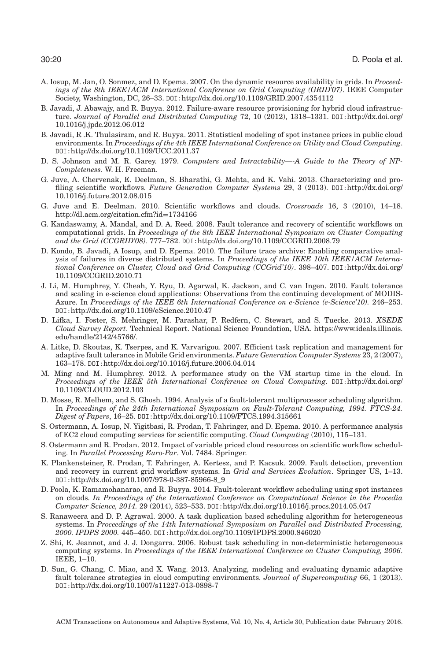- <span id="page-19-15"></span>A. Iosup, M. Jan, O. Sonmez, and D. Epema. 2007. On the dynamic resource availability in grids. In *Proceedings of the 8th IEEE/ACM International Conference on Grid Computing (GRID'07)*. IEEE Computer Society, Washington, DC, 26–33. DOI:<http://dx.doi.org/10.1109/GRID.2007.4354112>
- <span id="page-19-14"></span>B. Javadi, J. Abawajy, and R. Buyya. 2012. Failure-aware resource provisioning for hybrid cloud infrastructure. *Journal of Parallel and Distributed Computing* 72, 10 (2012), 1318–1331. DOI:[http://dx.doi.org/](http://dx.doi.org/10.1016/j.jpdc.2012.06.012) [10.1016/j.jpdc.2012.06.012](http://dx.doi.org/10.1016/j.jpdc.2012.06.012)
- <span id="page-19-5"></span>B. Javadi, R .K. Thulasiram, and R. Buyya. 2011. Statistical modeling of spot instance prices in public cloud environments. In *Proceedings of the 4th IEEE International Conference on Utility and Cloud Computing*. DOI:<http://dx.doi.org/10.1109/UCC.2011.37>
- <span id="page-19-18"></span>D. S. Johnson and M. R. Garey. 1979. *Computers and Intractability—-A Guide to the Theory of NP-Completeness*. W. H. Freeman.
- <span id="page-19-19"></span>G. Juve, A. Chervenak, E. Deelman, S. Bharathi, G. Mehta, and K. Vahi. 2013. Characterizing and profiling scientific workflows. *Future Generation Computer Systems* 29, 3 (2013). DOI:[http://dx.doi.org/](http://dx.doi.org/10.1016/j.future.2012.08.015) [10.1016/j.future.2012.08.015](http://dx.doi.org/10.1016/j.future.2012.08.015)
- <span id="page-19-1"></span>G. Juve and E. Deelman. 2010. Scientific workflows and clouds. *Crossroads* 16, 3 (2010), 14–18. [http://dl.acm.org/citation.cfm?id](http://dl.acm.org/citation.cfm?id$=$1734166)=1734166
- <span id="page-19-11"></span>G. Kandaswamy, A. Mandal, and D. A. Reed. 2008. Fault tolerance and recovery of scientific workflows on computational grids. In *Proceedings of the 8th IEEE International Symposium on Cluster Computing and the Grid (CCGRID'08).* 777–782. DOI:<http://dx.doi.org/10.1109/CCGRID.2008.79>
- <span id="page-19-16"></span>D. Kondo, B. Javadi, A Iosup, and D. Epema. 2010. The failure trace archive: Enabling comparative analysis of failures in diverse distributed systems. In *Proceedings of the IEEE 10th IEEE/ACM International Conference on Cluster, Cloud and Grid Computing (CCGrid'10)*. 398–407. DOI:[http://dx.doi.org/](http://dx.doi.org/10.1109/CCGRID.2010.71) [10.1109/CCGRID.2010.71](http://dx.doi.org/10.1109/CCGRID.2010.71)
- <span id="page-19-9"></span>J. Li, M. Humphrey, Y. Cheah, Y. Ryu, D. Agarwal, K. Jackson, and C. van Ingen. 2010. Fault tolerance and scaling in e-science cloud applications: Observations from the continuing development of MODIS-Azure. In *Proceedings of the IEEE 6th International Conference on e-Science (e-Science'10).* 246–253. DOI:<http://dx.doi.org/10.1109/eScience.2010.47>
- <span id="page-19-0"></span>D. Lifka, I. Foster, S. Mehringer, M. Parashar, P. Redfern, C. Stewart, and S. Tuecke. 2013. *XSEDE Cloud Survey Report*. Technical Report. National Science Foundation, USA. [https://www.ideals.illinois.](https://www.ideals.illinois.edu/handle/2142/45766/) [edu/handle/2142/45766/.](https://www.ideals.illinois.edu/handle/2142/45766/)
- <span id="page-19-17"></span>A. Litke, D. Skoutas, K. Tserpes, and K. Varvarigou. 2007. Efficient task replication and management for adaptive fault tolerance in Mobile Grid environments. *Future Generation Computer Systems* 23, 2 (2007), 163–178. DOI:<http://dx.doi.org/10.1016/j.future.2006.04.014>
- <span id="page-19-7"></span>M. Ming and M. Humphrey. 2012. A performance study on the VM startup time in the cloud. In *Proceedings of the IEEE 5th International Conference on Cloud Computing*. DOI:[http://dx.doi.org/](http://dx.doi.org/10.1109/CLOUD.2012.103) [10.1109/CLOUD.2012.103](http://dx.doi.org/10.1109/CLOUD.2012.103)
- <span id="page-19-10"></span>D. Mosse, R. Melhem, and S. Ghosh. 1994. Analysis of a fault-tolerant multiprocessor scheduling algorithm. In *Proceedings of the 24th International Symposium on Fault-Tolerant Computing, 1994. FTCS-24. Digest of Papers*, 16–25. DOI:<http://dx.doi.org/10.1109/FTCS.1994.315661>
- <span id="page-19-6"></span>S. Ostermann, A. Iosup, N. Yigitbasi, R. Prodan, T. Fahringer, and D. Epema. 2010. A performance analysis of EC2 cloud computing services for scientific computing. *Cloud Computing* (2010), 115–131.
- <span id="page-19-4"></span>S. Ostermann and R. Prodan. 2012. Impact of variable priced cloud resources on scientific workflow scheduling. In *Parallel Processing Euro-Par*. Vol. 7484. Springer.
- <span id="page-19-8"></span>K. Plankensteiner, R. Prodan, T. Fahringer, A. Kertesz, and P. Kacsuk. 2009. Fault detection, prevention and recovery in current grid workflow systems. In *Grid and Services Evolution*. Springer US, 1–13. DOI:[http://dx.doi.org/10.1007/978-0-387-85966-8\\_9](http://dx.doi.org/10.1007/978-0-387-85966-8_9)
- <span id="page-19-3"></span>D. Poola, K. Ramamohanarao, and R. Buyya. 2014. Fault-tolerant workflow scheduling using spot instances on clouds. *In Proceedings of the International Conference on Computational Science in the Procedia Computer Science, 2014.* 29 (2014), 523–533. DOI:<http://dx.doi.org/10.1016/j.procs.2014.05.047>
- <span id="page-19-12"></span>S. Ranaweera and D. P. Agrawal. 2000. A task duplication based scheduling algorithm for heterogeneous systems. In *Proceedings of the 14th International Symposium on Parallel and Distributed Processing, 2000. IPDPS 2000.* 445–450. DOI:<http://dx.doi.org/10.1109/IPDPS.2000.846020>
- <span id="page-19-13"></span>Z. Shi, E. Jeannot, and J. J. Dongarra. 2006. Robust task scheduling in non-deterministic heterogeneous computing systems. In *Proceedings of the IEEE International Conference on Cluster Computing, 2006*. IEEE, 1–10.
- <span id="page-19-2"></span>D. Sun, G. Chang, C. Miao, and X. Wang. 2013. Analyzing, modeling and evaluating dynamic adaptive fault tolerance strategies in cloud computing environments. *Journal of Supercomputing* 66, 1 (2013). DOI:<http://dx.doi.org/10.1007/s11227-013-0898-7>